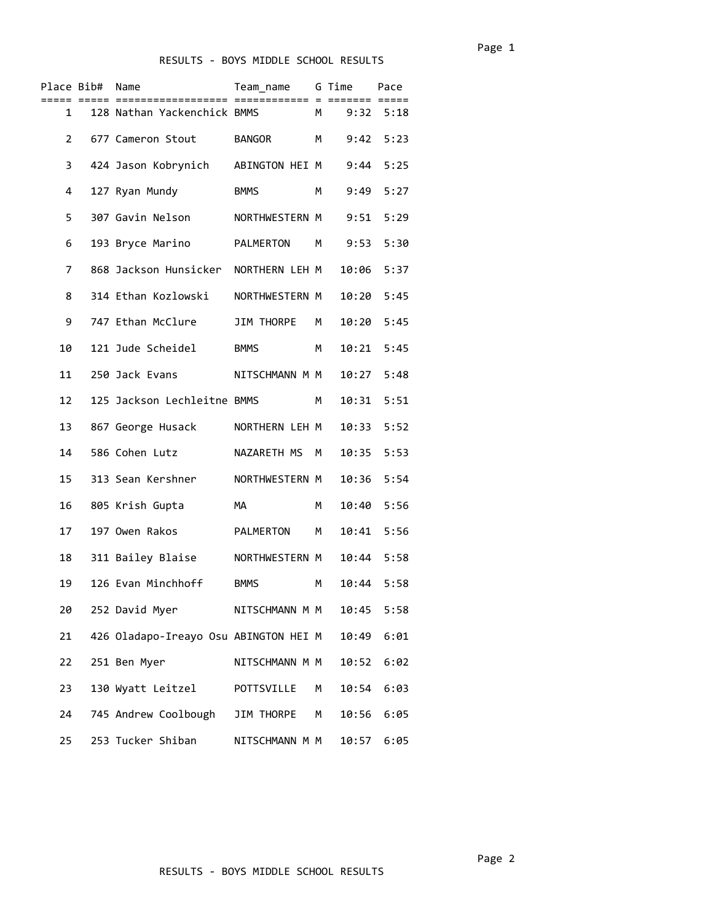| Place Bib#     |           | Name                                  | Team_name      |                | G Time | Pace |  |
|----------------|-----------|---------------------------------------|----------------|----------------|--------|------|--|
|                | $1 \quad$ | 128 Nathan Yackenchick BMMS           |                | M <sub>D</sub> | 9:32   | 5:18 |  |
| $\overline{2}$ |           | 677 Cameron Stout                     | BANGOR         | м              | 9:42   | 5:23 |  |
| 3              |           | 424 Jason Kobrynich                   | ABINGTON HEI M |                | 9:44   | 5:25 |  |
| 4              |           | 127 Ryan Mundy                        | <b>BMMS</b>    | M              | 9:49   | 5:27 |  |
| 5              |           | 307 Gavin Nelson                      | NORTHWESTERN M |                | 9:51   | 5:29 |  |
| 6              |           | 193 Bryce Marino                      | PALMERTON M    |                | 9:53   | 5:30 |  |
| 7              |           | 868 Jackson Hunsicker NORTHERN LEH M  |                |                | 10:06  | 5:37 |  |
| 8              |           | 314 Ethan Kozlowski                   | NORTHWESTERN M |                | 10:20  | 5:45 |  |
| 9              |           | 747 Ethan McClure                     | JIM THORPE     | М              | 10:20  | 5:45 |  |
| 10             |           | 121 Jude Scheidel                     | <b>BMMS</b>    | м              | 10:21  | 5:45 |  |
| 11             |           | 250 Jack Evans                        | NITSCHMANN M M |                | 10:27  | 5:48 |  |
| 12             |           | 125 Jackson Lechleitne BMMS           |                | М              | 10:31  | 5:51 |  |
| 13             |           | 867 George Husack                     | NORTHERN LEH M |                | 10:33  | 5:52 |  |
| 14             |           | 586 Cohen Lutz                        | NAZARETH MS    | M              | 10:35  | 5:53 |  |
| 15             |           | 313 Sean Kershner                     | NORTHWESTERN M |                | 10:36  | 5:54 |  |
| 16             |           | 805 Krish Gupta                       | MA             | м              | 10:40  | 5:56 |  |
| 17             |           | 197 Owen Rakos                        | PALMERTON      | M              | 10:41  | 5:56 |  |
| 18             |           | 311 Bailey Blaise                     | NORTHWESTERN M |                | 10:44  | 5:58 |  |
| 19             |           | 126 Evan Minchhoff                    | <b>BMMS</b>    | м              | 10:44  | 5:58 |  |
| 20             |           | 252 David Myer                        | NITSCHMANN M M |                | 10:45  | 5:58 |  |
| 21             |           | 426 Oladapo-Ireayo Osu ABINGTON HEI M |                |                | 10:49  | 6:01 |  |
| 22             |           | 251 Ben Myer                          | NITSCHMANN M M |                | 10:52  | 6:02 |  |
| 23             |           | 130 Wyatt Leitzel                     | POTTSVILLE     | М              | 10:54  | 6:03 |  |
| 24             |           | 745 Andrew Coolbough                  | JIM THORPE     | М              | 10:56  | 6:05 |  |
| 25             |           | 253 Tucker Shiban                     | NITSCHMANN M M |                | 10:57  | 6:05 |  |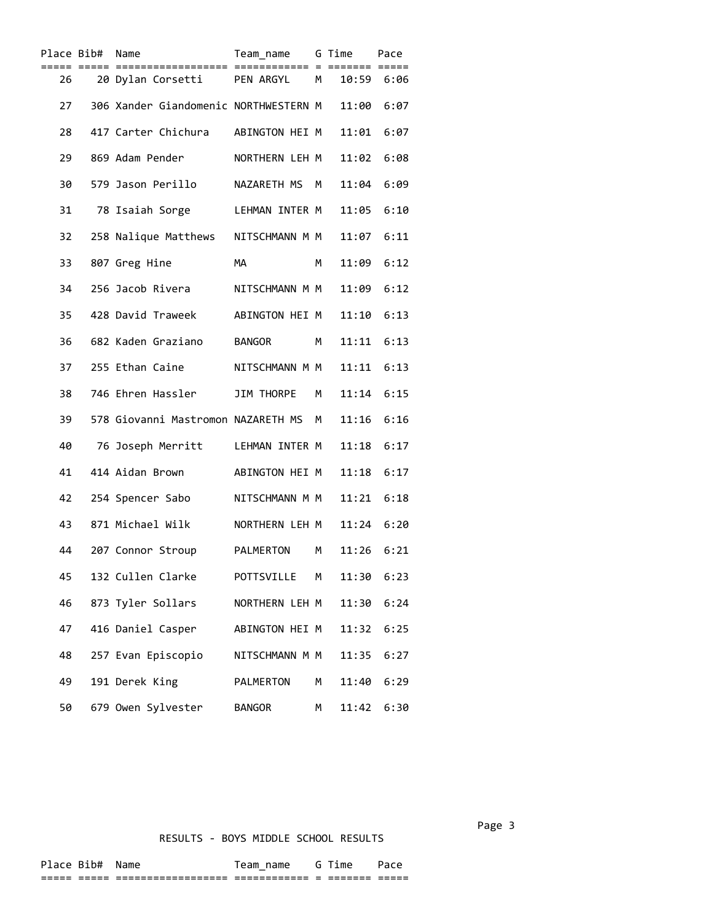| Place Bib# | Name                                  | Team_name      |   | G Time     | Pace |
|------------|---------------------------------------|----------------|---|------------|------|
| 26         | 20 Dylan Corsetti                     | PEN ARGYL M    |   | 10:59 6:06 |      |
| 27         | 306 Xander Giandomenic NORTHWESTERN M |                |   | 11:00      | 6:07 |
| 28         | 417 Carter Chichura                   | ABINGTON HEI M |   | 11:01      | 6:07 |
| 29         | 869 Adam Pender                       | NORTHERN LEH M |   | 11:02      | 6:08 |
| 30         | 579 Jason Perillo                     | NAZARETH MS M  |   | 11:04      | 6:09 |
| 31         | 78 Isaiah Sorge                       | LEHMAN INTER M |   | 11:05      | 6:10 |
| 32         | 258 Nalique Matthews                  | NITSCHMANN M M |   | 11:07      | 6:11 |
| 33         | 807 Greg Hine                         | MA             | м | 11:09      | 6:12 |
| 34         | 256 Jacob Rivera                      | NITSCHMANN M M |   | 11:09      | 6:12 |
| 35         | 428 David Traweek                     | ABINGTON HEI M |   | 11:10      | 6:13 |
| 36         | 682 Kaden Graziano                    | <b>BANGOR</b>  | M | 11:11      | 6:13 |
| 37         | 255 Ethan Caine                       | NITSCHMANN M M |   | 11:11      | 6:13 |
| 38         | 746 Ehren Hassler                     | JIM THORPE     | M | 11:14      | 6:15 |
| 39         | 578 Giovanni Mastromon NAZARETH MS M  |                |   | 11:16      | 6:16 |
| 40         | 76 Joseph Merritt                     | LEHMAN INTER M |   | 11:18      | 6:17 |
| 41         | 414 Aidan Brown                       | ABINGTON HEI M |   | 11:18      | 6:17 |
| 42         | 254 Spencer Sabo                      | NITSCHMANN M M |   | 11:21      | 6:18 |
| 43         | 871 Michael Wilk                      | NORTHERN LEH M |   | 11:24      | 6:20 |
| 44         | 207 Connor Stroup                     | PALMERTON      | М | 11:26      | 6:21 |
| 45         | 132 Cullen Clarke                     | POTTSVILLE     | М | 11:30      | 6:23 |
| 46         | 873 Tyler Sollars                     | NORTHERN LEH M |   | 11:30      | 6:24 |
| 47         | 416 Daniel Casper                     | ABINGTON HEI M |   | 11:32      | 6:25 |
| 48         | 257 Evan Episcopio                    | NITSCHMANN M M |   | 11:35      | 6:27 |
| 49         | 191 Derek King                        | PALMERTON      | М | 11:40      | 6:29 |
| 50         | 679 Owen Sylvester                    | <b>BANGOR</b>  | М | 11:42      | 6:30 |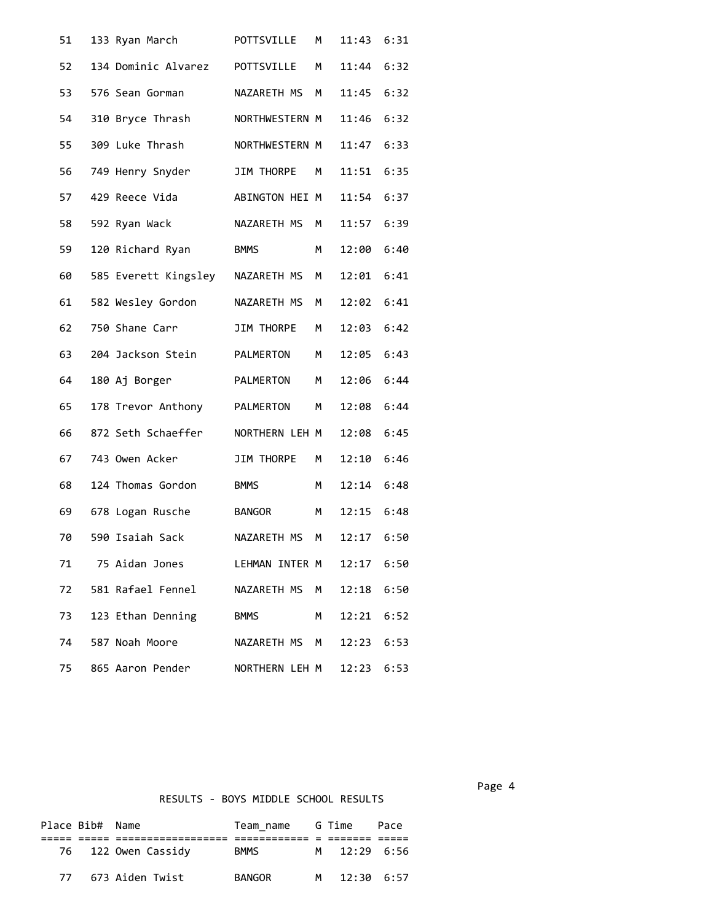| 51 | 133 Ryan March       | POTTSVILLE        | М | 11:43 | 6:31 |
|----|----------------------|-------------------|---|-------|------|
| 52 | 134 Dominic Alvarez  | POTTSVILLE        | М | 11:44 | 6:32 |
| 53 | 576 Sean Gorman      | NAZARETH MS       | м | 11:45 | 6:32 |
| 54 | 310 Bryce Thrash     | NORTHWESTERN M    |   | 11:46 | 6:32 |
| 55 | 309 Luke Thrash      | NORTHWESTERN M    |   | 11:47 | 6:33 |
| 56 | 749 Henry Snyder     | JIM THORPE        | М | 11:51 | 6:35 |
| 57 | 429 Reece Vida       | ABINGTON HEI M    |   | 11:54 | 6:37 |
| 58 | 592 Ryan Wack        | NAZARETH MS       | M | 11:57 | 6:39 |
| 59 | 120 Richard Ryan     | <b>BMMS</b>       | М | 12:00 | 6:40 |
| 60 | 585 Everett Kingsley | NAZARETH MS       | М | 12:01 | 6:41 |
| 61 | 582 Wesley Gordon    | NAZARETH MS       | М | 12:02 | 6:41 |
| 62 | 750 Shane Carr       | <b>JIM THORPE</b> | М | 12:03 | 6:42 |
| 63 | 204 Jackson Stein    | PALMERTON         | М | 12:05 | 6:43 |
| 64 | 180 Aj Borger        | PALMERTON         | М | 12:06 | 6:44 |
| 65 | 178 Trevor Anthony   | PALMERTON         | М | 12:08 | 6:44 |
| 66 | 872 Seth Schaeffer   | NORTHERN LEH M    |   | 12:08 | 6:45 |
| 67 | 743 Owen Acker       | JIM THORPE        | М | 12:10 | 6:46 |
| 68 | 124 Thomas Gordon    | <b>BMMS</b>       | м | 12:14 | 6:48 |
| 69 | 678 Logan Rusche     | <b>BANGOR</b>     | М | 12:15 | 6:48 |
| 70 | 590 Isaiah Sack      | NAZARETH MS       | м | 12:17 | 6:50 |
| 71 | 75 Aidan Jones       | LEHMAN INTER M    |   | 12:17 | 6:50 |
| 72 | 581 Rafael Fennel    | NAZARETH MS       | М | 12:18 | 6:50 |
| 73 | 123 Ethan Denning    | <b>BMMS</b>       | м | 12:21 | 6:52 |
| 74 | 587 Noah Moore       | NAZARETH MS       | M | 12:23 | 6:53 |
| 75 | 865 Aaron Pender     | NORTHERN LEH M    |   | 12:23 | 6:53 |

Page 4 and the state of the state of the state of the state of the state of the state of the state of the state of the state of the state of the state of the state of the state of the state of the state of the state of the

|    | Place Bib# Name |                     | Team name G Time |              | Pace |  |
|----|-----------------|---------------------|------------------|--------------|------|--|
|    |                 |                     |                  |              |      |  |
|    |                 | 76 122 Owen Cassidy | <b>BMMS</b>      | M 12:29 6:56 |      |  |
| 77 |                 | 673 Aiden Twist     | <b>BANGOR</b>    | M 12:30 6:57 |      |  |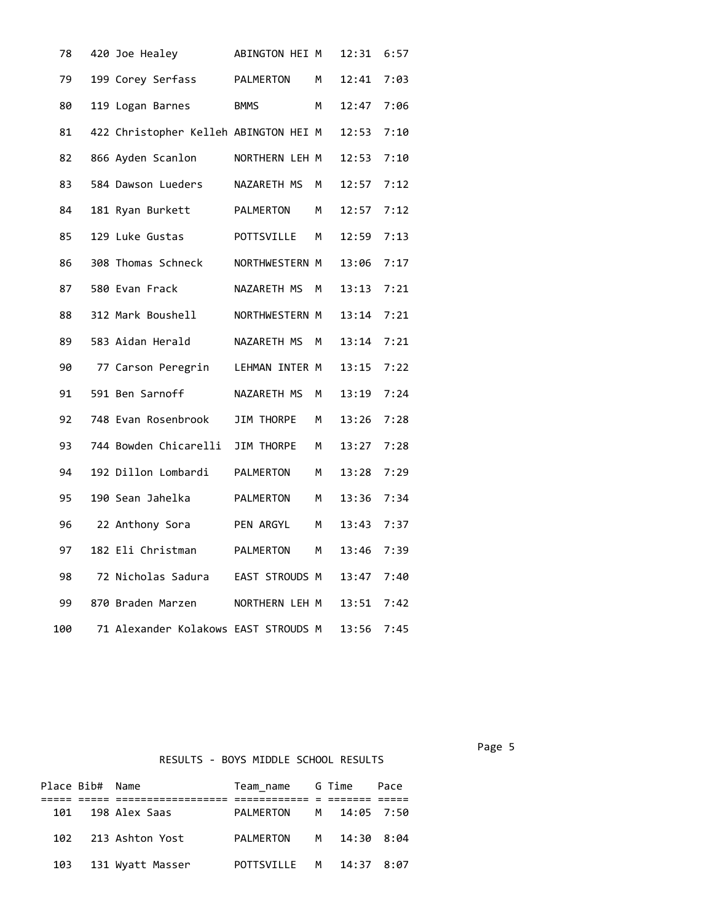| 78  | 420 Joe Healey                        | ABINGTON HEI M |   | 12:31 | 6:57 |
|-----|---------------------------------------|----------------|---|-------|------|
| 79  | 199 Corey Serfass                     | PALMERTON      | М | 12:41 | 7:03 |
| 80  | 119 Logan Barnes                      | <b>BMMS</b>    | M | 12:47 | 7:06 |
| 81  | 422 Christopher Kelleh ABINGTON HEI M |                |   | 12:53 | 7:10 |
| 82  | 866 Ayden Scanlon                     | NORTHERN LEH M |   | 12:53 | 7:10 |
| 83  | 584 Dawson Lueders                    | NAZARETH MS    | M | 12:57 | 7:12 |
| 84  | 181 Ryan Burkett                      | PALMERTON      | M | 12:57 | 7:12 |
| 85  | 129 Luke Gustas                       | POTTSVILLE     | M | 12:59 | 7:13 |
| 86  | 308 Thomas Schneck                    | NORTHWESTERN M |   | 13:06 | 7:17 |
| 87  | 580 Evan Frack                        | NAZARETH MS    | M | 13:13 | 7:21 |
| 88  | 312 Mark Boushell                     | NORTHWESTERN M |   | 13:14 | 7:21 |
| 89  | 583 Aidan Herald                      | NAZARETH MS    | M | 13:14 | 7:21 |
| 90  | 77 Carson Peregrin                    | LEHMAN INTER M |   | 13:15 | 7:22 |
| 91  | 591 Ben Sarnoff                       | NAZARETH MS    | М | 13:19 | 7:24 |
| 92  | 748 Evan Rosenbrook                   | JIM THORPE     | М | 13:26 | 7:28 |
| 93  | 744 Bowden Chicarelli                 | JIM THORPE     | М | 13:27 | 7:28 |
| 94  | 192 Dillon Lombardi                   | PALMERTON      | М | 13:28 | 7:29 |
| 95  | 190 Sean Jahelka                      | PALMERTON      | M | 13:36 | 7:34 |
| 96  | 22 Anthony Sora                       | PEN ARGYL      | M | 13:43 | 7:37 |
| 97  | 182 Eli Christman                     | PALMERTON      | М | 13:46 | 7:39 |
| 98  | 72 Nicholas Sadura                    | EAST STROUDS M |   | 13:47 | 7:40 |
| 99  | 870 Braden Marzen                     | NORTHERN LEH M |   | 13:51 | 7:42 |
| 100 | 71 Alexander Kolakows EAST STROUDS M  |                |   | 13:56 | 7:45 |

| Place Bib# Name |                      | Team_name G Time        |  | Pace <b>P</b> |
|-----------------|----------------------|-------------------------|--|---------------|
|                 |                      |                         |  |               |
|                 | 101 198 Alex Saas    | PALMERTON M 14:05 7:50  |  |               |
|                 | 102 213 Ashton Yost  | PALMERTON M 14:30 8:04  |  |               |
|                 | 103 131 Wyatt Masser | POTTSVILLE M 14:37 8:07 |  |               |

Page 5